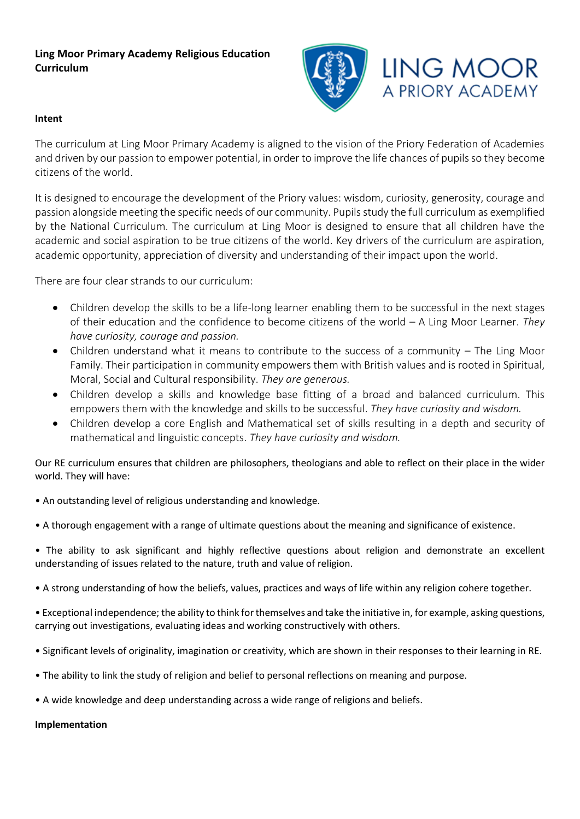# **Ling Moor Primary Academy Religious Education Curriculum**



## **Intent**

The curriculum at Ling Moor Primary Academy is aligned to the vision of the Priory Federation of Academies and driven by our passion to empower potential, in order to improve the life chances of pupils so they become citizens of the world.

It is designed to encourage the development of the Priory values: wisdom, curiosity, generosity, courage and passion alongside meeting the specific needs of our community. Pupils study the full curriculum as exemplified by the National Curriculum. The curriculum at Ling Moor is designed to ensure that all children have the academic and social aspiration to be true citizens of the world. Key drivers of the curriculum are aspiration, academic opportunity, appreciation of diversity and understanding of their impact upon the world.

There are four clear strands to our curriculum:

- Children develop the skills to be a life-long learner enabling them to be successful in the next stages of their education and the confidence to become citizens of the world – A Ling Moor Learner. *They have curiosity, courage and passion.*
- Children understand what it means to contribute to the success of a community The Ling Moor Family. Their participation in community empowers them with British values and is rooted in Spiritual, Moral, Social and Cultural responsibility. *They are generous.*
- Children develop a skills and knowledge base fitting of a broad and balanced curriculum. This empowers them with the knowledge and skills to be successful. *They have curiosity and wisdom.*
- Children develop a core English and Mathematical set of skills resulting in a depth and security of mathematical and linguistic concepts. *They have curiosity and wisdom.*

Our RE curriculum ensures that children are philosophers, theologians and able to reflect on their place in the wider world. They will have:

- An outstanding level of religious understanding and knowledge.
- A thorough engagement with a range of ultimate questions about the meaning and significance of existence.
- The ability to ask significant and highly reflective questions about religion and demonstrate an excellent understanding of issues related to the nature, truth and value of religion.
- A strong understanding of how the beliefs, values, practices and ways of life within any religion cohere together.
- Exceptional independence; the ability to think for themselves and take the initiative in, for example, asking questions, carrying out investigations, evaluating ideas and working constructively with others.
- Significant levels of originality, imagination or creativity, which are shown in their responses to their learning in RE.
- The ability to link the study of religion and belief to personal reflections on meaning and purpose.
- A wide knowledge and deep understanding across a wide range of religions and beliefs.

## **Implementation**